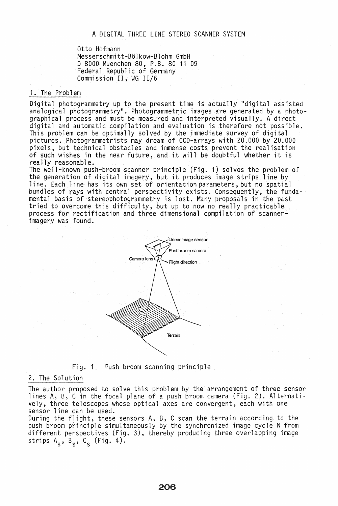Otto Hofmann Messerschmitt-Bölkow-Blohm GmbH o 8000 Muenchen 80, P.S. 80 11 09 Federal Republic of Germany Commission II, WG 11/6

## 1. The Problem

Digital photogrammetry up to the present time is actually "digital assisted analogical photogrammetry". Photogrammetric images are generated by a photographical process and must be measured and interpreted visually. A direct digital and automatic compilation and evaluation is therefore not possible. This problem can be optimally solved by the immediate survey of digital pictures. Photogrammetrists may dream of CCD-arrays with 20.000 by 20.000 pixels, but technical obstacles and immense costs prevent the realisation of such wiShes in the near future, and it will be doubtful whether it is really reasonable.

The well-known push-broom scanner principle (Fig. 1) solves the problem of the generation of digital imagery, but it produces image strips line by 1 ine. Each 1 ine has its own set of orientation parameters, but no spatial bundles of rays with central perspectivity exists. Consequently, the fundamental basis of stereophotogrammetry is lost. Many proposals in the past tried to overcome this difficulty, but up to now no really practicable process for rectification and three dimensional compilation of scannerimagery was found.



 $Fig. 1$ Push broom scanning principle

#### 2. The Solution

The author proposed to solve this problem by the arrangement of three sensor lines A, B, C in the focal plane of a push broom camera (Fig. 2). Alternatively, three telescopes whose optical axes are convergent, each with one sensor line can be used.

During the flight, these sensors A, B, C scan the terrain according to the push broom principle simultaneously by the synchronized image cycle N from different perspectives (Fig. 3), thereby producing three overlapping image strips  $A_S$ ,  $B_S$ ,  $C_S$  (Fig. 4).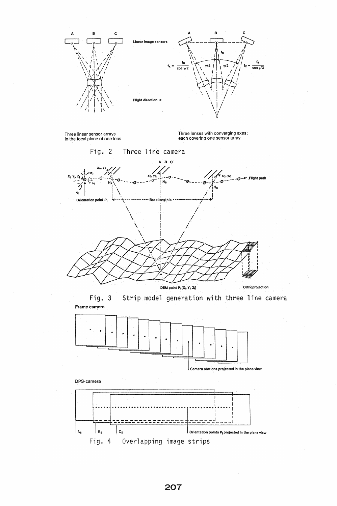

207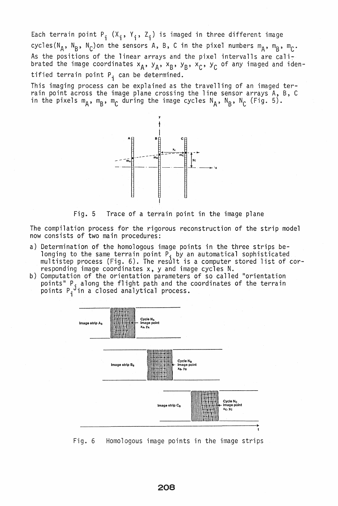Each terrain point  $P_i$  (X<sub>i</sub>, Y<sub>i</sub>, Z<sub>i</sub>) is imaged in three different image cycles(N<sub>A</sub>, N<sub>B</sub>, N<sub>C</sub>)on the sensors A, B, C in the pixel numbers m<sub>A</sub>, m<sub>B</sub>, m<sub>C</sub>. As the positions of the linear arrays and the pixel intervalls are calibrated the image coordinates  $x_A$ ,  $y_A$ ,  $x_B$ ,  $y_B$ ,  $x_C$ ,  $y_C$  of any imaged and identified terrain point  $P_i$  can be determined.

This imaging process can be explained as the travelling of an imaged terrain point across the image plane crossing the line sensor arrays A, B, C in the pixels  $m_A$ ,  $m_B$ ,  $m_C$  during the image cycles N<sub>A</sub>, N<sub>B</sub>, N<sub>C</sub> (Fig. 5).



Fig. 5 Trace of a terrain point in the image plane

The compilation process for the rigorous reconstruction of the strip model now consists of two main procedures:

- a) Determination of the homologous image points in the three strips belonging to the same terrain point P<sub>i</sub> by an automatical sophisticated multistep process (Fig. 6). The result is a computer stored list of corresponding image coordinates x, y and image cycles N.
- b) Computation of the orientation parameters of so called "orientation points" P, along the flight path and the coordinates of the terrain<br>points P, in a closed analytical process.



Fig. 6 Homologous image points in the image strips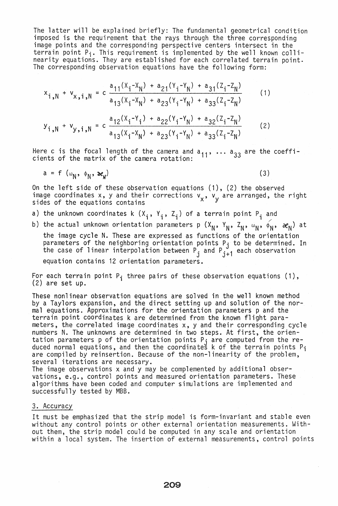The latter will be explained briefly: The fundamental geometrical condition imposed is the requirement that the rays through the three corresponding image points and the corresponding perspective centers intersect in the terrain point  $P_i$ . This requirement is implemented by the well known collinearity equations. They are established for each correlated terrain point. The corresponding observation equations have the following form:

$$
x_{i,N} + v_{x,i,N} = c \frac{a_{11}(x_i - x_N) + a_{21}(y_i - y_N) + a_{31}(z_i - z_N)}{a_{13}(x_i - x_N) + a_{23}(y_i - y_N) + a_{33}(z_i - z_N)}
$$
(1)

$$
y_{\mathbf{i},\mathbf{N}} + v_{\mathbf{y},\mathbf{i},\mathbf{N}} = c \frac{a_{12}(x_{\mathbf{i}} - Y_{\mathbf{i}}) + a_{22}(Y_{\mathbf{i}} - Y_{\mathbf{N}}) + a_{32}(Z_{\mathbf{i}} - Z_{\mathbf{N}})}{a_{13}(x_{\mathbf{i}} - x_{\mathbf{N}}) + a_{23}(Y_{\mathbf{i}} - Y_{\mathbf{N}}) + a_{33}(Z_{\mathbf{i}} - Z_{\mathbf{N}})}
$$
(2)

Here c is the focal length of the camera and a<sub>11</sub>, ... a<sub>33</sub> are the coeffi-<br>cients of the matrix of the camera rotation:

$$
a = f(\omega_N, \phi_N, \omega_N) \tag{3}
$$

On the left side of these observation equations (1), (2) the observed image coordinates x, y and their corrections  $v_x$ ,  $v_y$  are arranged, the right sides of the equations contains

a) the unknown coordinates k  $(X_i, Y_i, Z_i)$  of a terrain point  $P_i$  and

b) the actual unknown orientation parameters p  $(x_N, y_N, z_N, \omega_N, \phi_N, \alpha_N)$  at the image cycle N. These are expressed as functions of the orientation parameters of the neighboring orientation points P<sub>i</sub> to be determined. In the case of linear interpolation between  $P_j$  and  $P_{j+1}$  each observation

equation contains 12 orientation parameters.

For each terrain point  $P_i$  three pairs of these observation equations (1), (2) are set up.

These nonlinear observation equations are solved in the well known method by a Taylors expansion, and the direct setting up and solution of the normal equations. Approximations for the orientation parameters p and the terrain point coordinates k are determined from the known flight parameters, the correlated image coordinates x, y and their corresponding cycle numbers N. The unknowns are determined in two steps. At first, the orientation parameters p of the orientation points P<sub>i</sub> are computed from the reduced normal equations, and then the coordinates k of the terrain points  ${\sf P}_{\bf i}$ are compiled by reinsertion. Because of the non-linearity of the problem,

several iterations are necessary.<br>The image observations x and y may be complemented by additional observations, e.g., control points and measured orientation parameters. These algorithms have been coded and computer simulations are implemented and successfully tested by MBB.

#### 3. Accuracy

It must be emphasized that the strip model is form-invariant and stable even without any control points or other external orientation measurements. Without them, the strip model could be computed in any scale and orientation within a local system. The insertion of external measurements, control points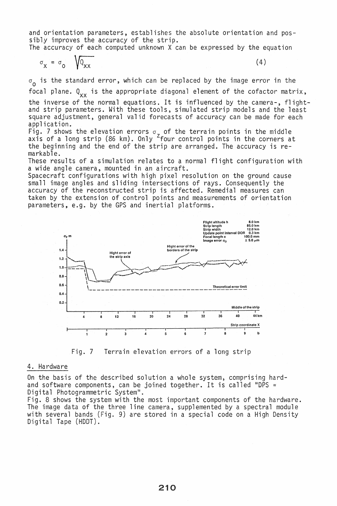and orientation parameters, establishes the absolute orientation and possibly improves the accuracy of the strip.

The accuracy of each computed unknown X can be expressed by the equation

$$
\sigma_{\mathbf{x}} = \sigma_{0} \sqrt{Q_{\mathbf{x}\mathbf{x}}} \tag{4}
$$

 $\sigma_{\alpha}$  is the standard error, which can be replaced by the image error in the

focal plane.  $Q_{XX}$  is the appropriate diagonal element of the cofactor matrix,

the inverse of the normal equations. It is influenced by the camera-, flight-<br>and strip parameters. With these tools, simulated strip models and the least square adjustment, general valid forecasts of accuracy can be made for each application.

 $\mathsf{Fig.}$  7 shows the elevation errors  $\sigma_{_{\boldsymbol{\mathcal{T}}}}$  of the terrain points in the middle axis of a long strip (86 km). Only <sup>Z</sup>four control points in the corners at the beginning and the end of the strip are arranged. The accuracy is remarkable.

These results of a simulation relates to a normal flight configuration with a wide angle camera, mounted in an aircraft.

Spacecraft configurations with high pixel resolution on the ground cause small image angles and sliding intersections of rays. Consequently the accuracy of the reconstructed strip is affected. Remedial measures can taken by the extension of control points and measurements of orientation parameters, e.g. by the GPS and inertial platforms.



Fig. 7 Terrain elevation errors of a long strip

## 4. Hardware

On the basis of the described solution a whole system, comprising hardand software components, can be joined together. It is called "DPS = Digital Photogrammetric System".

Fig. 8 shows the system with the most important components of the hardware. The image data of the three line camera, supplemented by a spectral module with several bands (Fig. 9) are stored in a special code on a High Density<br>Digital Tape (HDDT).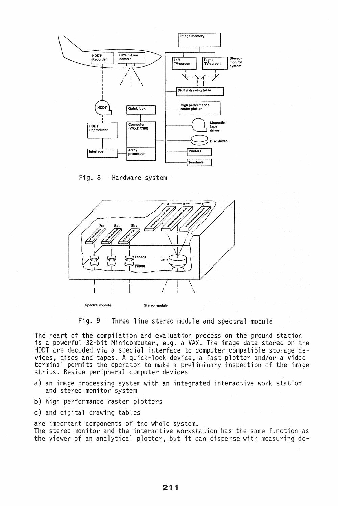

Fig. 8 Hardware system



Fig. 9 Three line stereo module and spectral module

The heart of the compilation and evaluation process on the ground station is a powerful 32-bit Minicomputer, e.g. a VAX. The image data stored on the HOOT are decoded via a special interface to computer compatible storage devices, discs and tapes. A quick-look device, a fast plotter and/or a video terminal permits the operator to make a preliminary inspection of the image strips. Beside peripheral computer devices

- a) an image processing system with an integrated interactive work station and stereo monitor system
- b) high performance raster plotters
- c) and digital drawing tables

are important components of the whole system. The stereo monitor and the interactive workstation has the same function as the viewer of an analytical plotter, but it can dispense with measuring de-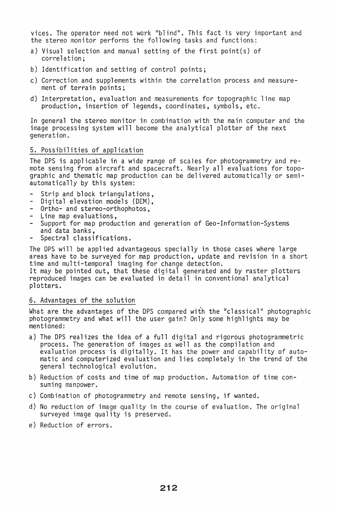vices. The operator need not work "blind". This fact is very important and the stereo monitor performs the following tasks and functions:

- a) Visual selection and manual setting of the first point(s) of correlation;
- b) Identification and setting of control points;
- c) Correction and supplements within the correlation process and measurement of terrain points;
- d) Interpretation, evaluation and measurements for topographic line map production, insertion of legends, coordinates, symbols, etc.

In general the stereo monitor in combination with the main computer and the image processing system will become the analytical plotter of the next generation.

## 5. Possibilities of application

The DPS is applicable in a wide range of scales for photogrammetry and remote sensing from aircraft and spacecraft. Nearly all evaluations for topographic and thematic map production can be delivered automatically or semiautomatically by this system:

- 
- Strip and block triangulations,<br>- Digital elevation models (DEM),<br>- Ortho- and stereo-orthophotos,
- 
- 
- Line map evaluations,<br>- Support for map production and generation of Geo-Information-Systems and data banks,<br>Spectral classifications.
- 

The DPS will be applied advantageous specially in those cases where large areas have to be surveyed for map production, update and revision in a short time and multi-temporal imaging for change detection. It may be pointed out, that these digital generated and by raster plotters

reproduced images can be evaluated in detail in conventional analytical plotters.

## 6. Advantages of the solution

What are the advantages of the DPS compared with the "classical" photographic photogrammetry and what will the user gain? Only some highlights may be mentioned:

- a) The DPS realizes the idea of a full digital and rigorous photogrammetric process. The generation of images as well as the compilation and evaluation process is digitally. It has the power and capability of automatic and computerized evaluation and lies completely in the trend of the general technological evolution.
- b) Reduction of costs and time of map production. Automation of time consuming manpower.
- c) Combination of photogrammetry and remote sensing, if wanted.
- d) No reduction of image quality in the course of evaluation. The original surveyed image quality is preserved.
- e) Reduction of errors.